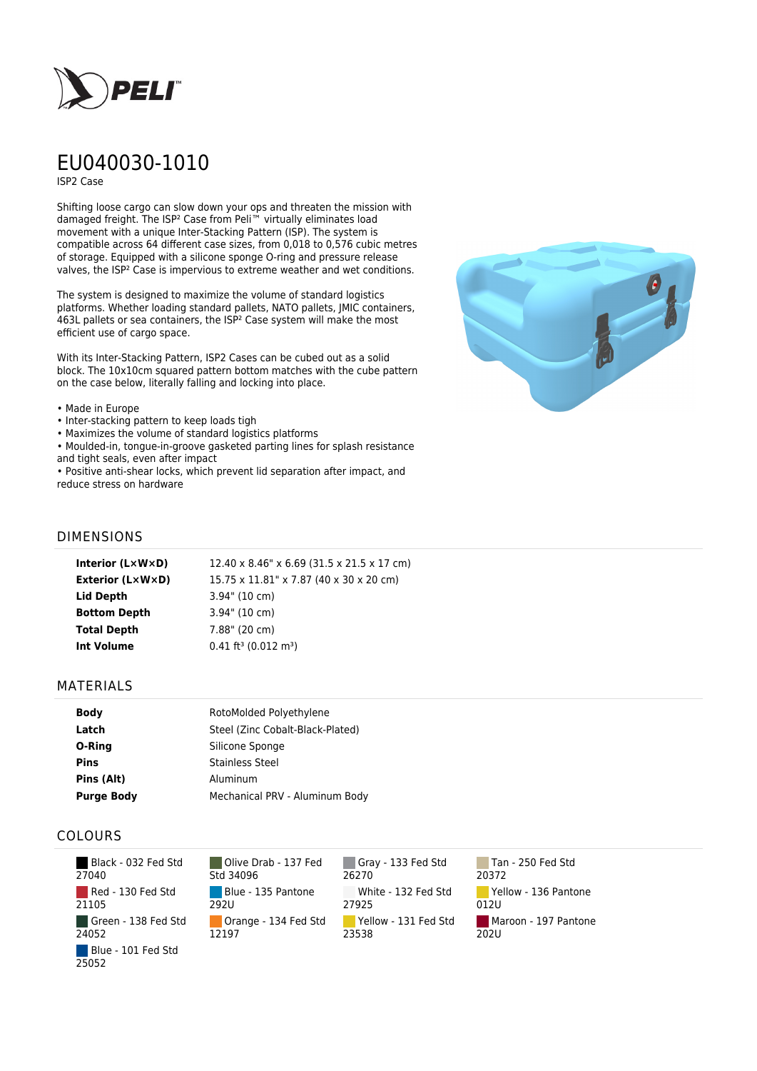

# EU040030-1010

ISP2 Case

Shifting loose cargo can slow down your ops and threaten the mission with damaged freight. The ISP² Case from Peli™ virtually eliminates load movement with a unique Inter-Stacking Pattern (ISP). The system is compatible across 64 different case sizes, from 0,018 to 0,576 cubic metres of storage. Equipped with a silicone sponge O-ring and pressure release valves, the ISP² Case is impervious to extreme weather and wet conditions.

The system is designed to maximize the volume of standard logistics platforms. Whether loading standard pallets, NATO pallets, JMIC containers, 463L pallets or sea containers, the ISP² Case system will make the most efficient use of cargo space.

With its Inter-Stacking Pattern, ISP2 Cases can be cubed out as a solid block. The 10x10cm squared pattern bottom matches with the cube pattern on the case below, literally falling and locking into place.

#### • Made in Europe

- Inter-stacking pattern to keep loads tigh
- Maximizes the volume of standard logistics platforms
- Moulded-in, tongue-in-groove gasketed parting lines for splash resistance and tight seals, even after impact

• Positive anti-shear locks, which prevent lid separation after impact, and reduce stress on hardware



## DIMENSIONS

| Interior $(L \times W \times D)$ | 12.40 x 8.46" x 6.69 (31.5 x 21.5 x 17 cm)     |
|----------------------------------|------------------------------------------------|
| <b>Exterior (L×W×D)</b>          | 15.75 x 11.81" x 7.87 (40 x 30 x 20 cm)        |
| Lid Depth                        | $3.94$ " (10 cm)                               |
| <b>Bottom Depth</b>              | $3.94$ " (10 cm)                               |
| <b>Total Depth</b>               | 7.88" (20 cm)                                  |
| <b>Int Volume</b>                | $0.41$ ft <sup>3</sup> (0.012 m <sup>3</sup> ) |
|                                  |                                                |

### MATERIALS

| <b>Body</b>       | RotoMolded Polyethylene          |
|-------------------|----------------------------------|
| Latch             | Steel (Zinc Cobalt-Black-Plated) |
| O-Ring            | Silicone Sponge                  |
| <b>Pins</b>       | <b>Stainless Steel</b>           |
| Pins (Alt)        | Aluminum                         |
| <b>Purge Body</b> | Mechanical PRV - Aluminum Body   |

## COLOURS

| Black - 032 Fed Std<br>27040 |
|------------------------------|
| Red - 130 Fed Std<br>21105   |
| Green - 138 Fed Std<br>24052 |
| Blue - 101 Fed Std<br>25052  |

Olive Drab - 137 Fed Std 34096 Blue - 135 Pantone 292U Orange - 134 Fed Std 12197

Gray - 133 Fed Std 26270 White - 132 Fed Std 27925 Yellow - 131 Fed Std 23538

Tan - 250 Fed Std 20372 Yellow - 136 Pantone 012U Maroon - 197 Pantone  $202U$